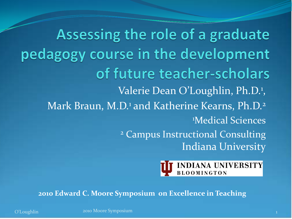Assessing the role of a graduate pedagogy course in the development of future teacher-scholars Valerie Dean O'Loughlin, Ph.D.<sup>1</sup>, Mark Braun, M.D.<sup>1</sup> and Katherine Kearns, Ph.D.<sup>2</sup> 1 Medical Sciences <sup>2</sup> Campus Instructional Consulting Indiana University



**2010 Edward C. Moore Symposium on Excellence in Teaching**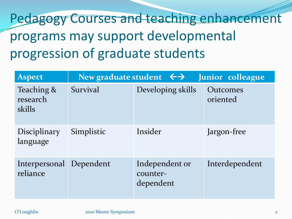# Pedagogy Courses and teaching enhancement programs may support developmental progression of graduate students

| <b>Aspect</b>                       | New graduate student $\leftrightarrow$<br>Junior colleague |                                         |                      |  |  |
|-------------------------------------|------------------------------------------------------------|-----------------------------------------|----------------------|--|--|
| Teaching &<br>research<br>skills    | Survival                                                   | Developing skills                       | Outcomes<br>oriented |  |  |
| <b>Disciplinary</b><br>language     | Simplistic                                                 | Insider                                 | Jargon-free          |  |  |
| Interpersonal Dependent<br>reliance |                                                            | Independent or<br>counter-<br>dependent | Interdependent       |  |  |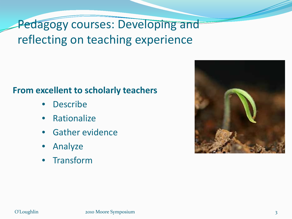### Pedagogy courses: Developing and reflecting on teaching experience

#### **From excellent to scholarly teachers**

- **Describe**
- **Rationalize**
- Gather evidence
- Analyze
- **Transform**

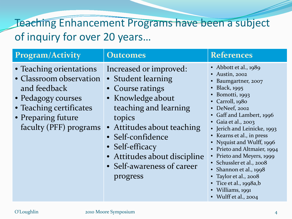### Teaching Enhancement Programs have been a subject of inquiry for over 20 years…

| <b>Program/Activity</b>                                                                                                                                             | <b>Outcomes</b>                                                                                                                                                                                                                                                          | <b>References</b>                                                                                                                                                                                                                                                                                                                                                                                                                                                            |
|---------------------------------------------------------------------------------------------------------------------------------------------------------------------|--------------------------------------------------------------------------------------------------------------------------------------------------------------------------------------------------------------------------------------------------------------------------|------------------------------------------------------------------------------------------------------------------------------------------------------------------------------------------------------------------------------------------------------------------------------------------------------------------------------------------------------------------------------------------------------------------------------------------------------------------------------|
| • Teaching orientations<br>• Classroom observation<br>and feedback<br>• Pedagogy courses<br>• Teaching certificates<br>• Preparing future<br>faculty (PFF) programs | Increased or improved:<br>• Student learning<br>• Course ratings<br>• Knowledge about<br>teaching and learning<br>topics<br>• Attitudes about teaching<br>• Self-confidence<br>• Self-efficacy<br>• Attitudes about discipline<br>• Self-awareness of career<br>progress | • Abbott et al., $1989$<br>Austin, 2002<br>Baumgartner, 2007<br><b>Black</b> , 1995<br>Bomotti, 1993<br>Carroll, 1980<br>DeNeef, 2002<br>Gaff and Lambert, 1996<br>Gaia et al., 2003<br>• Jerich and Leinicke, 1993<br>Kearns et al., in press<br>Nyquist and Wulff, 1996<br>Prieto and Altmaier, 1994<br>Prieto and Meyers, 1999<br>Schussler et al., 2008<br>Shannon et al., 1998<br>Taylor et al., 2008<br>Tice et al., 1998a,b<br>Williams, 1991<br>• Wulff et al., 2004 |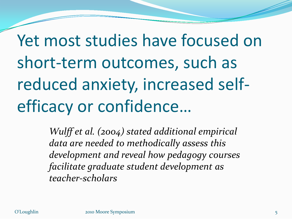Yet most studies have focused on short-term outcomes, such as reduced anxiety, increased selfefficacy or confidence…

> *Wulff et al. (2004) stated additional empirical data are needed to methodically assess this development and reveal how pedagogy courses facilitate graduate student development as teacher-scholars*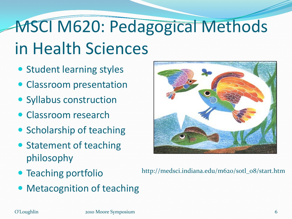# MSCI M620: Pedagogical Methods in Health Sciences

- Student learning styles
- Classroom presentation
- Syllabus construction
- Classroom research
- Scholarship of teaching
- Statement of teaching philosophy
- Teaching portfolio
- Metacognition of teaching



http://medsci.indiana.edu/m620/sotl\_08/start.htm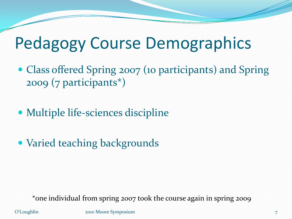# Pedagogy Course Demographics

- Class offered Spring 2007 (10 participants) and Spring 2009 (7 participants\*)
- Multiple life-sciences discipline
- Varied teaching backgrounds

\*one individual from spring 2007 took the course again in spring 2009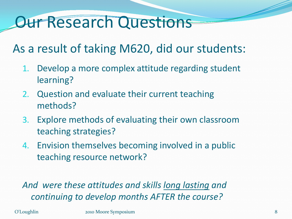# Our Research Questions

### As a result of taking M620, did our students:

- 1. Develop a more complex attitude regarding student learning?
- 2. Question and evaluate their current teaching methods?
- 3. Explore methods of evaluating their own classroom teaching strategies?
- 4. Envision themselves becoming involved in a public teaching resource network?

*And were these attitudes and skills long lasting and continuing to develop months AFTER the course?*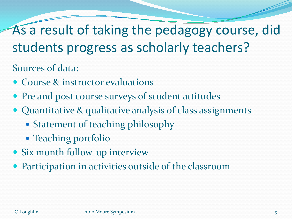As a result of taking the pedagogy course, did students progress as scholarly teachers?

Sources of data:

- Course & instructor evaluations
- Pre and post course surveys of student attitudes
- Quantitative & qualitative analysis of class assignments
	- Statement of teaching philosophy
	- Teaching portfolio
- Six month follow-up interview
- Participation in activities outside of the classroom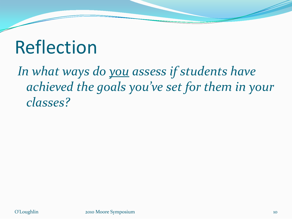# Reflection

*In what ways do you assess if students have achieved the goals you've set for them in your classes?*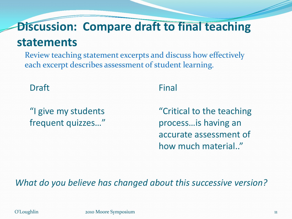### **Discussion: Compare draft to final teaching statements**

Review teaching statement excerpts and discuss how effectively each excerpt describes assessment of student learning.

Draft

#### "I give my students frequent quizzes…"

#### Final

"Critical to the teaching process…is having an accurate assessment of how much material.."

*What do you believe has changed about this successive version?*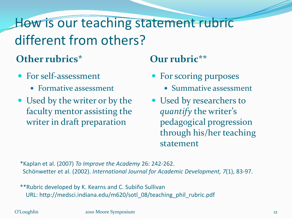## How is our teaching statement rubric different from others?

### **Other rubrics\***

- For self-assessment
	- Formative assessment
- Used by the writer or by the faculty mentor assisting the writer in draft preparation

#### **Our rubric\*\***

- For scoring purposes
	- Summative assessment
- Used by researchers to *quantify* the writer's pedagogical progression through his/her teaching statement

\*Kaplan et al. (2007) *To Improve the Academy* 26: 242-262. Schönwetter et al. (2002). *International Journal for Academic Development, 7*(1), 83-97.

\*\*Rubric developed by K. Kearns and C. Subiño Sullivan URL: http://medsci.indiana.edu/m620/sotl\_08/teaching\_phil\_rubric.pdf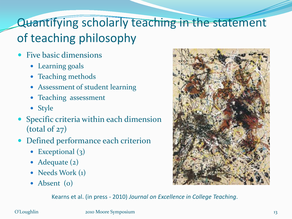## Quantifying scholarly teaching in the statement of teaching philosophy

- Five basic dimensions
	- Learning goals
	- Teaching methods
	- Assessment of student learning
	- Teaching assessment
	- Style
- Specific criteria within each dimension (total of 27)
- Defined performance each criterion
	- Exceptional (3)
	- Adequate (2)
	- Needs Work (1)
	- Absent (o)



Kearns et al. (in press - 2010) *Journal on Excellence in College Teaching*.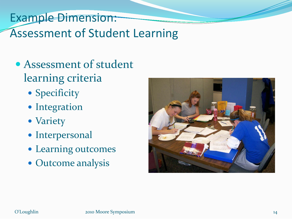### Example Dimension: Assessment of Student Learning

- Assessment of student learning criteria
	- Specificity
	- Integration
	- Variety
	- Interpersonal
	- Learning outcomes
	- Outcome analysis

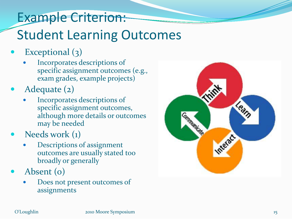## Example Criterion: Student Learning Outcomes

- Exceptional (3)
	- Incorporates descriptions of specific assignment outcomes (e.g., exam grades, example projects)
- Adequate (2)
	- Incorporates descriptions of specific assignment outcomes, although more details or outcomes may be needed
- Needs work (1)
	- Descriptions of assignment outcomes are usually stated too broadly or generally
- Absent (0)
	- Does not present outcomes of assignments

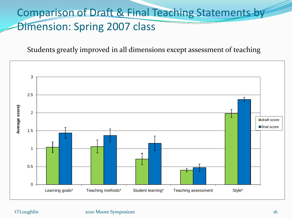### Comparison of Draft & Final Teaching Statements by Dimension: Spring 2007 class

Students greatly improved in all dimensions except assessment of teaching

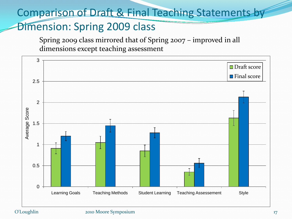#### Comparison of Draft & Final Teaching Statements by

#### Dimension: Spring 2009 class

Spring 2009 class mirrored that of Spring 2007 – improved in all dimensions except teaching assessment

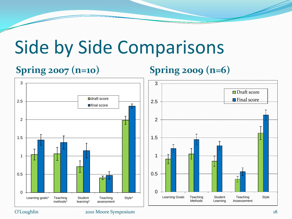# Side by Side Comparisons

#### **Spring 2007 (n=10) Spring 2009 (n=6)**

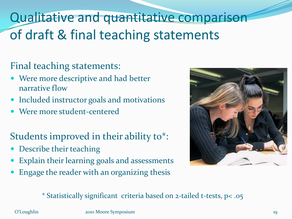## Qualitative and quantitative comparison of draft & final teaching statements

#### Final teaching statements:

- Were more descriptive and had better narrative flow
- Included instructor goals and motivations
- Were more student-centered

### Students improved in their ability to\*:

- Describe their teaching
- Explain their learning goals and assessments
- Engage the reader with an organizing thesis



\* Statistically significant criteria based on 2-tailed t-tests, p< .05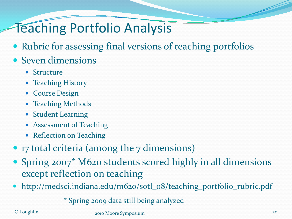## Teaching Portfolio Analysis

- Rubric for assessing final versions of teaching portfolios
- Seven dimensions
	- Structure
	- Teaching History
	- Course Design
	- Teaching Methods
	- Student Learning
	- Assessment of Teaching
	- Reflection on Teaching
- 17 total criteria (among the 7 dimensions)
- Spring 2007<sup>\*</sup> M620 students scored highly in all dimensions except reflection on teaching
- http://medsci.indiana.edu/m620/sotl\_08/teaching\_portfolio\_rubric.pdf

\* Spring 2009 data still being analyzed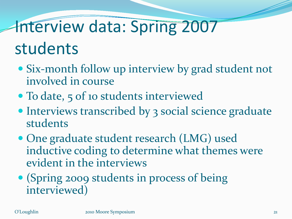# Interview data: Spring 2007

# students

- Six-month follow up interview by grad student not involved in course
- To date, 5 of 10 students interviewed
- Interviews transcribed by 3 social science graduate students
- One graduate student research (LMG) used inductive coding to determine what themes were evident in the interviews
- (Spring 2009 students in process of being interviewed)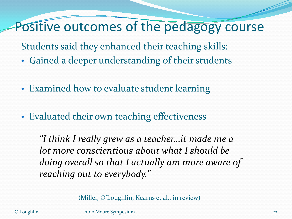### Positive outcomes of the pedagogy course

Students said they enhanced their teaching skills:

- Gained a deeper understanding of their students
- Examined how to evaluate student learning
- Evaluated their own teaching effectiveness

*"I think I really grew as a teacher…it made me a lot more conscientious about what I should be doing overall so that I actually am more aware of reaching out to everybody."*

(Miller, O'Loughlin, Kearns et al., in review)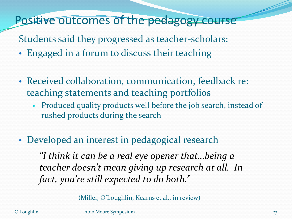Positive outcomes of the pedagogy course

Students said they progressed as teacher-scholars:

- Engaged in a forum to discuss their teaching
- Received collaboration, communication, feedback re: teaching statements and teaching portfolios
	- Produced quality products well before the job search, instead of rushed products during the search
- Developed an interest in pedagogical research

*"I think it can be a real eye opener that…being a teacher doesn't mean giving up research at all. In fact, you're still expected to do both."*

(Miller, O'Loughlin, Kearns et al., in review)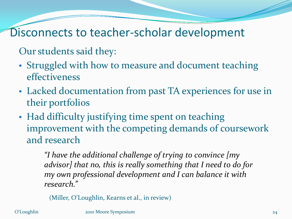### Disconnects to teacher-scholar development

Our students said they:

- Struggled with how to measure and document teaching effectiveness
- Lacked documentation from past TA experiences for use in their portfolios
- Had difficulty justifying time spent on teaching improvement with the competing demands of coursework and research

*"I have the additional challenge of trying to convince [my advisor] that no, this is really something that I need to do for my own professional development and I can balance it with research."* 

(Miller, O'Loughlin, Kearns et al., in review)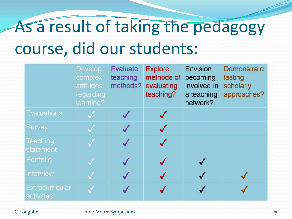# As a result of taking the pedagogy course, did our students:

|                                      | <b>Develop</b><br>complex<br>attitudes<br>regarding<br>learning? | <b>Evaluate</b><br>teaching<br>methods? | <b>Explore</b><br>methods of<br>evaluating<br>teaching? | Envision<br>becoming<br>involved in<br>a teaching<br>network? | <b>Demonstrate</b><br>lasting<br>scholarly<br>approaches? |
|--------------------------------------|------------------------------------------------------------------|-----------------------------------------|---------------------------------------------------------|---------------------------------------------------------------|-----------------------------------------------------------|
| <b>Evaluations</b>                   |                                                                  |                                         |                                                         |                                                               |                                                           |
| <b>Survey</b>                        |                                                                  |                                         |                                                         |                                                               |                                                           |
| <b>Teaching</b><br>statement         |                                                                  |                                         |                                                         |                                                               |                                                           |
| Portfolio                            |                                                                  |                                         |                                                         |                                                               |                                                           |
| <b>Interview</b>                     |                                                                  |                                         |                                                         |                                                               |                                                           |
| <b>Extracurricular</b><br>activities |                                                                  |                                         |                                                         |                                                               |                                                           |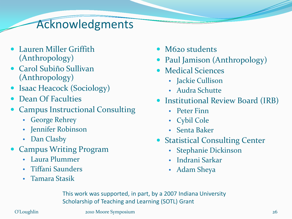### Acknowledgments

- Lauren Miller Griffith (Anthropology)
- Carol Subiño Sullivan (Anthropology)
- Isaac Heacock (Sociology)
- Dean Of Faculties
- Campus Instructional Consulting
	- George Rehrey
	- Jennifer Robinson
	- Dan Clasby
- Campus Writing Program
	- Laura Plummer
	- Tiffani Saunders
	- Tamara Stasik
- M620 students
- Paul Jamison (Anthropology)
- Medical Sciences
	- Jackie Cullison
	- Audra Schutte
- Institutional Review Board (IRB)
	- Peter Finn
	- Cybil Cole
	- Senta Baker
- Statistical Consulting Center
	- Stephanie Dickinson
	- Indrani Sarkar
	- Adam Sheya

This work was supported, in part, by a 2007 Indiana University Scholarship of Teaching and Learning (SOTL) Grant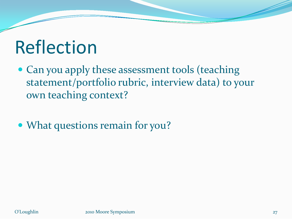# Reflection

- Can you apply these assessment tools (teaching statement/portfolio rubric, interview data) to your own teaching context?
- What questions remain for you?